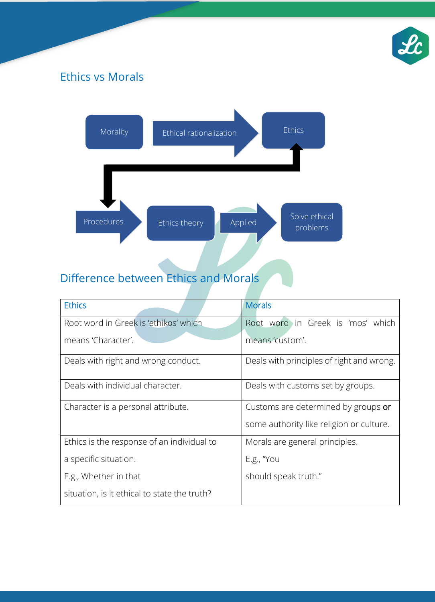

# Ethics vs Morals



# Difference between Ethics and Morals

| <b>Ethics</b>                                | <b>Morals</b>                             |
|----------------------------------------------|-------------------------------------------|
| Root word in Greek is 'ethikos' which        | Root word in Greek is 'mos' which         |
| means 'Character'.                           | means 'custom'.                           |
| Deals with right and wrong conduct.          | Deals with principles of right and wrong. |
| Deals with individual character.             | Deals with customs set by groups.         |
| Character is a personal attribute.           | Customs are determined by groups or       |
|                                              | some authority like religion or culture.  |
| Ethics is the response of an individual to   | Morals are general principles.            |
| a specific situation.                        | $E.g.,''$ You                             |
| E.g., Whether in that                        | should speak truth."                      |
| situation, is it ethical to state the truth? |                                           |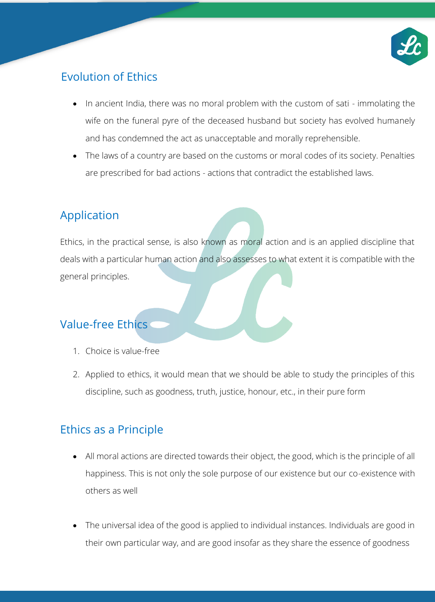

### Evolution of Ethics

- In ancient India, there was no moral problem with the custom of sati immolating the wife on the funeral pyre of the deceased husband but society has evolved humanely and has condemned the act as unacceptable and morally reprehensible.
- The laws of a country are based on the customs or moral codes of its society. Penalties are prescribed for bad actions - actions that contradict the established laws.

## Application

Ethics, in the practical sense, is also known as moral action and is an applied discipline that deals with a particular human action and also assesses to what extent it is compatible with the general principles.

# Value-free Ethics

- 1. Choice is value-free
- 2. Applied to ethics, it would mean that we should be able to study the principles of this discipline, such as goodness, truth, justice, honour, etc., in their pure form

## Ethics as a Principle

- All moral actions are directed towards their object, the good, which is the principle of all happiness. This is not only the sole purpose of our existence but our co-existence with others as well
- The universal idea of the good is applied to individual instances. Individuals are good in their own particular way, and are good insofar as they share the essence of goodness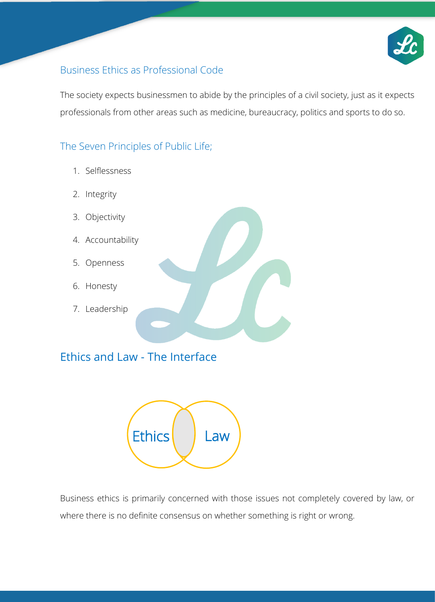

#### Business Ethics as Professional Code

The society expects businessmen to abide by the principles of a civil society, just as it expects professionals from other areas such as medicine, bureaucracy, politics and sports to do so.

#### The Seven Principles of Public Life;

- 1. Selflessness
- 2. Integrity
- 3. Objectivity
- 4. Accountability
- 5. Openness
- 6. Honesty
- 7. Leadership

### Ethics and Law - The Interface



Business ethics is primarily concerned with those issues not completely covered by law, or where there is no definite consensus on whether something is right or wrong.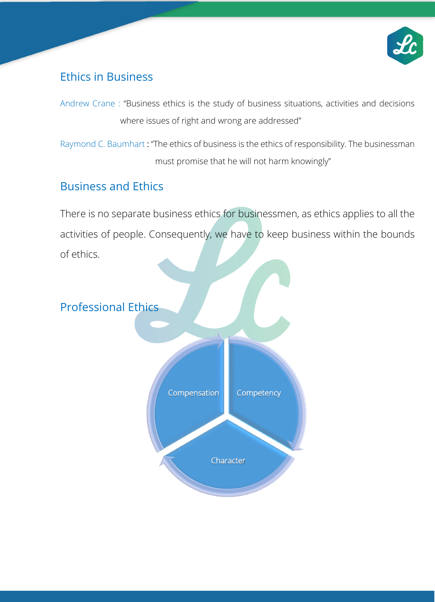

### Ethics in Business

Andrew Crane : "Business ethics is the study of business situations, activities and decisions where issues of right and wrong are addressed"

Raymond C. Baumhart : "The ethics of business is the ethics of responsibility. The businessman must promise that he will not harm knowingly"

## Business and Ethics

There is no separate business ethics for businessmen, as ethics applies to all the activities of people. Consequently, we have to keep business within the bounds of ethics.

## Professional Ethics